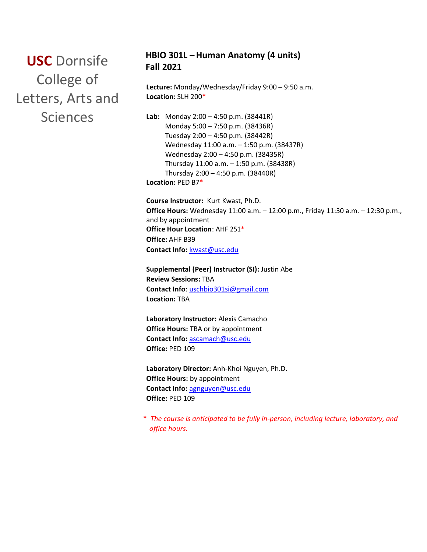**USC** Dornsife College of Letters, Arts and Sciences

# **HBIO 301L – Human Anatomy (4 units) Fall 2021**

**Lecture:** Monday/Wednesday/Friday 9:00 – 9:50 a.m. **Location:** SLH 200\*

**Lab:** Monday 2:00 – 4:50 p.m. (38441R) Monday 5:00 – 7:50 p.m. (38436R) Tuesday 2:00 – 4:50 p.m. (38442R) Wednesday 11:00 a.m. – 1:50 p.m. (38437R) Wednesday 2:00 – 4:50 p.m. (38435R) Thursday 11:00 a.m. – 1:50 p.m. (38438R) Thursday 2:00 – 4:50 p.m. (38440R) **Location:** PED B7\*

**Course Instructor:** Kurt Kwast, Ph.D. **Office Hours:** Wednesday 11:00 a.m. – 12:00 p.m., Friday 11:30 a.m. – 12:30 p.m., and by appointment **Office Hour Location**: AHF 251\* **Office:** AHF B39 **Contact Info:** kwast@usc.edu

**Supplemental (Peer) Instructor (SI):** Justin Abe **Review Sessions:** TBA **Contact Info**: uschbio301si@gmail.com **Location:** TBA

**Laboratory Instructor:** Alexis Camacho **Office Hours:** TBA or by appointment **Contact Info:** [ascamach@usc.edu](mailto:ascamach@usc.edu) **Office:** PED 109

**Laboratory Director:** Anh-Khoi Nguyen, Ph.D. **Office Hours:** by appointment **Contact Info:** [agnguyen@usc.edu](mailto:agnguyen@usc.edu) **Office:** PED 109

\* *The course is anticipated to be fully in-person, including lecture, laboratory, and office hours.*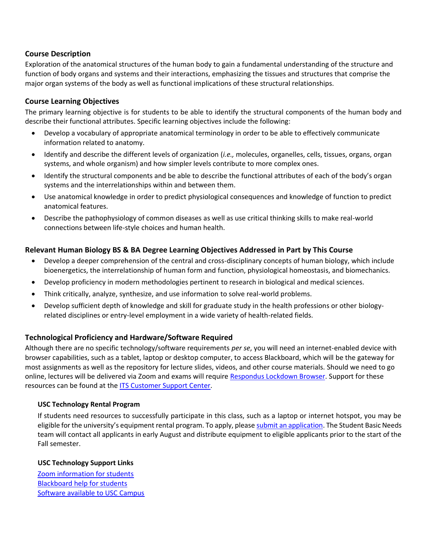# **Course Description**

Exploration of the anatomical structures of the human body to gain a fundamental understanding of the structure and function of body organs and systems and their interactions, emphasizing the tissues and structures that comprise the major organ systems of the body as well as functional implications of these structural relationships.

# **Course Learning Objectives**

The primary learning objective is for students to be able to identify the structural components of the human body and describe their functional attributes. Specific learning objectives include the following:

- Develop a vocabulary of appropriate anatomical terminology in order to be able to effectively communicate information related to anatomy.
- Identify and describe the different levels of organization (*i.e.,* molecules, organelles, cells, tissues, organs, organ systems, and whole organism) and how simpler levels contribute to more complex ones.
- Identify the structural components and be able to describe the functional attributes of each of the body's organ systems and the interrelationships within and between them.
- Use anatomical knowledge in order to predict physiological consequences and knowledge of function to predict anatomical features.
- Describe the pathophysiology of common diseases as well as use critical thinking skills to make real-world connections between life-style choices and human health.

# **Relevant Human Biology BS & BA Degree Learning Objectives Addressed in Part by This Course**

- Develop a deeper comprehension of the central and cross-disciplinary concepts of human biology, which include bioenergetics, the interrelationship of human form and function, physiological homeostasis, and biomechanics.
- Develop proficiency in modern methodologies pertinent to research in biological and medical sciences.
- Think critically, analyze, synthesize, and use information to solve real-world problems.
- Develop sufficient depth of knowledge and skill for graduate study in the health professions or other biologyrelated disciplines or entry-level employment in a wide variety of health-related fields.

# **Technological Proficiency and Hardware/Software Required**

Although there are no specific technology/software requirements *per se*, you will need an internet-enabled device with browser capabilities, such as a tablet, laptop or desktop computer, to access Blackboard, which will be the gateway for most assignments as well as the repository for lecture slides, videos, and other course materials. Should we need to go online, lectures will be delivered via Zoom and exams will require [Respondus Lockdown Browser.](https://download.respondus.com/lockdown/download.php?id=945755274) Support for these resources can be found at th[e ITS Customer Support Center.](https://itservices.usc.edu/)

# **USC Technology Rental Program**

If students need resources to successfully participate in this class, such as a laptop or internet hotspot, you may be eligible for the university's equipment rental program. To apply, please [submit an application.](https://studentbasicneeds.usc.edu/resources/technology-assistance/) The Student Basic Needs team will contact all applicants in early August and distribute equipment to eligible applicants prior to the start of the Fall semester.

# **USC Technology Support Links**

[Zoom information for students](https://keepteaching.usc.edu/start-learning/) [Blackboard help for students](https://studentblackboardhelp.usc.edu/) [Software available to USC Campus](https://software.usc.edu/)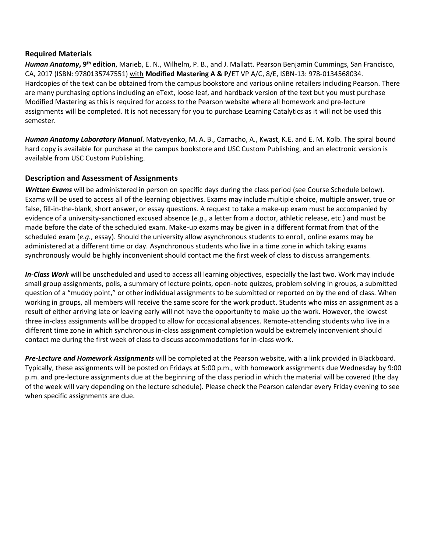## **Required Materials**

**Human Anatomy, 9<sup>th</sup> edition**, Marieb, E. N., Wilhelm, P. B., and J. Mallatt. Pearson Benjamin Cummings, San Francisco, CA, 2017 (ISBN: 9780135747551) with **Modified Mastering A & P/**ET VP A/C, 8/E, ISBN-13: 978-0134568034. Hardcopies of the text can be obtained from the campus bookstore and various online retailers including Pearson. There are many purchasing options including an eText, loose leaf, and hardback version of the text but you must purchase Modified Mastering as this is required for access to the Pearson website where all homework and pre-lecture assignments will be completed. It is not necessary for you to purchase Learning Catalytics as it will not be used this semester.

*Human Anatomy Laboratory Manual*. Matveyenko, M. A. B., Camacho, A., Kwast, K.E. and E. M. Kolb. The spiral bound hard copy is available for purchase at the campus bookstore and USC Custom Publishing, and an electronic version is available from USC Custom Publishing.

# **Description and Assessment of Assignments**

*Written Exams* will be administered in person on specific days during the class period (see Course Schedule below). Exams will be used to access all of the learning objectives. Exams may include multiple choice, multiple answer, true or false, fill-in-the-blank, short answer, or essay questions. A request to take a make-up exam must be accompanied by evidence of a university-sanctioned excused absence (*e.g.,* a letter from a doctor, athletic release, etc.) and must be made before the date of the scheduled exam. Make-up exams may be given in a different format from that of the scheduled exam (*e.g.,* essay). Should the university allow asynchronous students to enroll, online exams may be administered at a different time or day. Asynchronous students who live in a time zone in which taking exams synchronously would be highly inconvenient should contact me the first week of class to discuss arrangements*.*

*In-Class Work* will be unscheduled and used to access all learning objectives, especially the last two. Work may include small group assignments, polls, a summary of lecture points, open-note quizzes, problem solving in groups, a submitted question of a "muddy point," or other individual assignments to be submitted or reported on by the end of class. When working in groups, all members will receive the same score for the work product. Students who miss an assignment as a result of either arriving late or leaving early will not have the opportunity to make up the work. However, the lowest three in-class assignments will be dropped to allow for occasional absences. Remote-attending students who live in a different time zone in which synchronous in-class assignment completion would be extremely inconvenient should contact me during the first week of class to discuss accommodations for in-class work.

*Pre-Lecture and Homework Assignments* will be completed at the Pearson website, with a link provided in Blackboard. Typically, these assignments will be posted on Fridays at 5:00 p.m., with homework assignments due Wednesday by 9:00 p.m. and pre-lecture assignments due at the beginning of the class period in which the material will be covered (the day of the week will vary depending on the lecture schedule). Please check the Pearson calendar every Friday evening to see when specific assignments are due.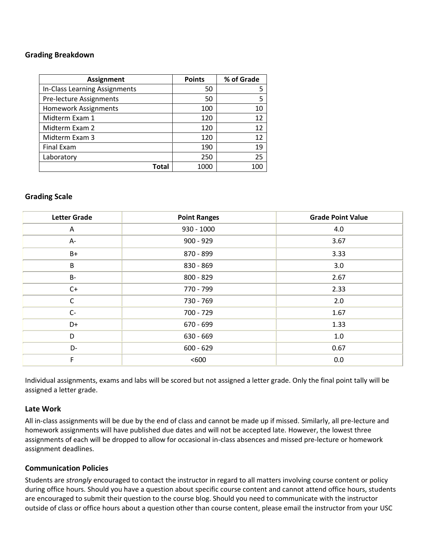## **Grading Breakdown**

| <b>Assignment</b>             | <b>Points</b> | % of Grade |
|-------------------------------|---------------|------------|
| In-Class Learning Assignments | 50            |            |
| Pre-lecture Assignments       | 50            |            |
| <b>Homework Assignments</b>   | 100           | 10         |
| Midterm Exam 1                | 120           | 12         |
| Midterm Exam 2                | 120           | 12         |
| Midterm Exam 3                | 120           | 12         |
| <b>Final Exam</b>             | 190           | 19         |
| Laboratory                    | 250           | 25         |
| Total                         | 1000          |            |

### **Grading Scale**

| <b>Letter Grade</b> | <b>Point Ranges</b> | <b>Grade Point Value</b> |
|---------------------|---------------------|--------------------------|
| A                   | $930 - 1000$        | 4.0                      |
| $A-$                | $900 - 929$         | 3.67                     |
| $B+$                | 870 - 899           | 3.33                     |
| B                   | 830 - 869           | 3.0                      |
| $B -$               | 800 - 829           | 2.67                     |
| $C+$                | 770 - 799           | 2.33                     |
| $\mathsf{C}$        | 730 - 769           | 2.0                      |
| $C-$                | 700 - 729           | 1.67                     |
| D+                  | 670 - 699           | 1.33                     |
| D                   | 630 - 669           | $1.0\,$                  |
| D-                  | $600 - 629$         | 0.67                     |
| F                   | < 600               | 0.0                      |

Individual assignments, exams and labs will be scored but not assigned a letter grade. Only the final point tally will be assigned a letter grade.

### **Late Work**

All in-class assignments will be due by the end of class and cannot be made up if missed. Similarly, all pre-lecture and homework assignments will have published due dates and will not be accepted late. However, the lowest three assignments of each will be dropped to allow for occasional in-class absences and missed pre-lecture or homework assignment deadlines.

### **Communication Policies**

Students are *strongly* encouraged to contact the instructor in regard to all matters involving course content or policy during office hours. Should you have a question about specific course content and cannot attend office hours, students are encouraged to submit their question to the course blog. Should you need to communicate with the instructor outside of class or office hours about a question other than course content, please email the instructor from your USC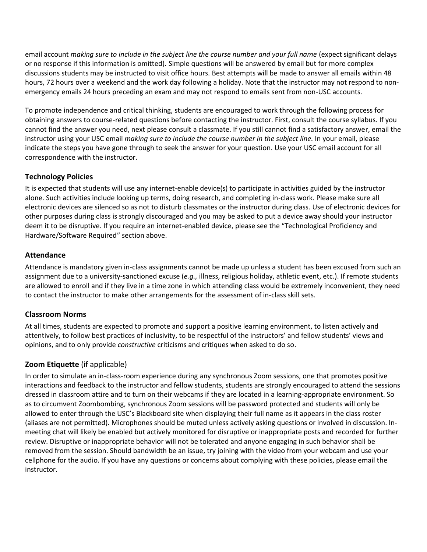email account *making sure to include in the subject line the course number and your full name* (expect significant delays or no response if this information is omitted). Simple questions will be answered by email but for more complex discussions students may be instructed to visit office hours. Best attempts will be made to answer all emails within 48 hours, 72 hours over a weekend and the work day following a holiday. Note that the instructor may not respond to nonemergency emails 24 hours preceding an exam and may not respond to emails sent from non-USC accounts.

To promote independence and critical thinking, students are encouraged to work through the following process for obtaining answers to course-related questions before contacting the instructor. First, consult the course syllabus. If you cannot find the answer you need, next please consult a classmate. If you still cannot find a satisfactory answer, email the instructor using your USC email *making sure to include the course number in the subject line.* In your email, please indicate the steps you have gone through to seek the answer for your question. Use your USC email account for all correspondence with the instructor.

# **Technology Policies**

It is expected that students will use any internet-enable device(s) to participate in activities guided by the instructor alone. Such activities include looking up terms, doing research, and completing in-class work. Please make sure all electronic devices are silenced so as not to disturb classmates or the instructor during class. Use of electronic devices for other purposes during class is strongly discouraged and you may be asked to put a device away should your instructor deem it to be disruptive. If you require an internet-enabled device, please see the "Technological Proficiency and Hardware/Software Required" section above.

# **Attendance**

Attendance is mandatory given in-class assignments cannot be made up unless a student has been excused from such an assignment due to a university-sanctioned excuse (*e.g.,* illness, religious holiday, athletic event, etc.). If remote students are allowed to enroll and if they live in a time zone in which attending class would be extremely inconvenient, they need to contact the instructor to make other arrangements for the assessment of in-class skill sets.

# **Classroom Norms**

At all times, students are expected to promote and support a positive learning environment, to listen actively and attentively, to follow best practices of inclusivity, to be respectful of the instructors' and fellow students' views and opinions, and to only provide *constructive* criticisms and critiques when asked to do so.

# **Zoom Etiquette** (if applicable)

In order to simulate an in-class-room experience during any synchronous Zoom sessions, one that promotes positive interactions and feedback to the instructor and fellow students, students are strongly encouraged to attend the sessions dressed in classroom attire and to turn on their webcams if they are located in a learning-appropriate environment. So as to circumvent Zoombombing, synchronous Zoom sessions will be password protected and students will only be allowed to enter through the USC's Blackboard site when displaying their full name as it appears in the class roster (aliases are not permitted). Microphones should be muted unless actively asking questions or involved in discussion. Inmeeting chat will likely be enabled but actively monitored for disruptive or inappropriate posts and recorded for further review. Disruptive or inappropriate behavior will not be tolerated and anyone engaging in such behavior shall be removed from the session. Should bandwidth be an issue, try joining with the video from your webcam and use your cellphone for the audio. If you have any questions or concerns about complying with these policies, please email the instructor.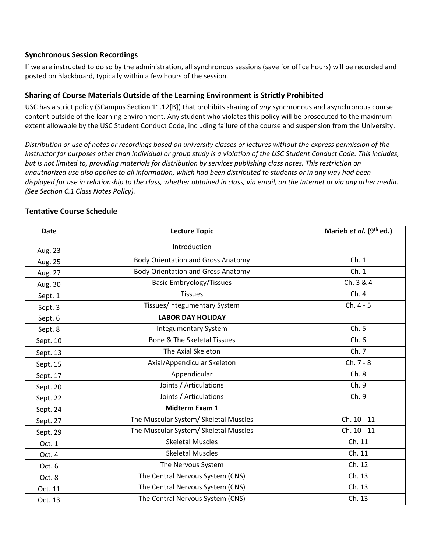## **Synchronous Session Recordings**

If we are instructed to do so by the administration, all synchronous sessions (save for office hours) will be recorded and posted on Blackboard, typically within a few hours of the session.

# **Sharing of Course Materials Outside of the Learning Environment is Strictly Prohibited**

USC has a strict policy (SCampus Section 11.12[B]) that prohibits sharing of *any* synchronous and asynchronous course content outside of the learning environment. Any student who violates this policy will be prosecuted to the maximum extent allowable by the USC Student Conduct Code, including failure of the course and suspension from the University.

*Distribution or use of notes or recordings based on university classes or lectures without the express permission of the instructor for purposes other than individual or group study is a violation of the USC Student Conduct Code. This includes, but is not limited to, providing materials for distribution by services publishing class notes. This restriction on unauthorized use also applies to all information, which had been distributed to students or in any way had been displayed for use in relationship to the class, whether obtained in class, via email, on the Internet or via any other media. (See Section C.1 Class Notes Policy).*

| <b>Date</b> | <b>Lecture Topic</b>                      | Marieb et al. (9 <sup>th</sup> ed.) |
|-------------|-------------------------------------------|-------------------------------------|
| Aug. 23     | Introduction                              |                                     |
| Aug. 25     | <b>Body Orientation and Gross Anatomy</b> | Ch.1                                |
| Aug. 27     | <b>Body Orientation and Gross Anatomy</b> | Ch.1                                |
| Aug. 30     | <b>Basic Embryology/Tissues</b>           | Ch. 3 & 4                           |
| Sept. 1     | <b>Tissues</b>                            | Ch.4                                |
| Sept. 3     | Tissues/Integumentary System              | $Ch. 4 - 5$                         |
| Sept. 6     | <b>LABOR DAY HOLIDAY</b>                  |                                     |
| Sept. 8     | <b>Integumentary System</b>               | Ch.5                                |
| Sept. 10    | <b>Bone &amp; The Skeletal Tissues</b>    | Ch.6                                |
| Sept. 13    | The Axial Skeleton                        | Ch. 7                               |
| Sept. 15    | Axial/Appendicular Skeleton               | Ch. 7 - 8                           |
| Sept. 17    | Appendicular                              | Ch.8                                |
| Sept. 20    | Joints / Articulations                    | Ch. 9                               |
| Sept. 22    | Joints / Articulations                    | Ch. 9                               |
| Sept. 24    | <b>Midterm Exam 1</b>                     |                                     |
| Sept. 27    | The Muscular System/ Skeletal Muscles     | Ch. 10 - 11                         |
| Sept. 29    | The Muscular System/ Skeletal Muscles     | Ch. 10 - 11                         |
| Oct. 1      | <b>Skeletal Muscles</b>                   | Ch. 11                              |
| Oct. 4      | <b>Skeletal Muscles</b>                   | Ch. 11                              |
| Oct. 6      | The Nervous System                        | Ch. 12                              |
| Oct. 8      | The Central Nervous System (CNS)          | Ch. 13                              |
| Oct. 11     | The Central Nervous System (CNS)          | Ch. 13                              |
| Oct. 13     | The Central Nervous System (CNS)          | Ch. 13                              |

# **Tentative Course Schedule**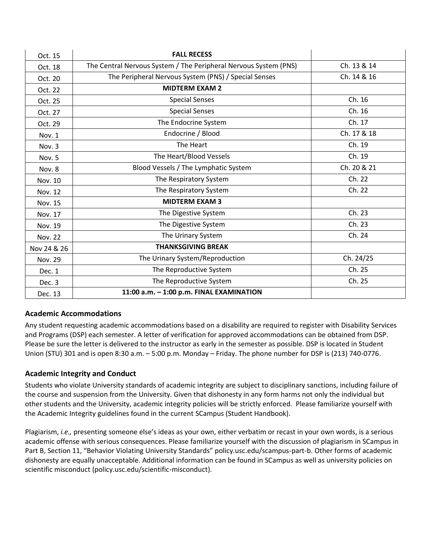| Oct. 15        | <b>FALL RECESS</b>                                               |             |
|----------------|------------------------------------------------------------------|-------------|
| Oct. 18        | The Central Nervous System / The Peripheral Nervous System (PNS) | Ch. 13 & 14 |
| Oct. 20        | The Peripheral Nervous System (PNS) / Special Senses             | Ch. 14 & 16 |
| Oct. 22        | <b>MIDTERM EXAM 2</b>                                            |             |
| Oct. 25        | <b>Special Senses</b>                                            | Ch. 16      |
| Oct. 27        | <b>Special Senses</b>                                            | Ch. 16      |
| Oct. 29        | The Endocrine System                                             | Ch. 17      |
| Nov. 1         | Endocrine / Blood                                                | Ch. 17 & 18 |
| Nov. 3         | The Heart                                                        | Ch. 19      |
| Nov. 5         | The Heart/Blood Vessels                                          | Ch. 19      |
| Nov. 8         | Blood Vessels / The Lymphatic System                             | Ch. 20 & 21 |
| Nov. 10        | The Respiratory System                                           | Ch. 22      |
| Nov. 12        | The Respiratory System                                           | Ch. 22      |
| Nov. 15        | <b>MIDTERM EXAM 3</b>                                            |             |
| Nov. 17        | The Digestive System                                             | Ch. 23      |
| Nov. 19        | The Digestive System                                             | Ch. 23      |
| <b>Nov. 22</b> | The Urinary System                                               | Ch. 24      |
| Nov 24 & 26    | <b>THANKSGIVING BREAK</b>                                        |             |
| Nov. 29        | The Urinary System/Reproduction                                  | Ch. 24/25   |
| Dec. 1         | The Reproductive System                                          | Ch. 25      |
| Dec. 3         | The Reproductive System                                          | Ch. 25      |
| Dec. 13        | 11:00 a.m. - 1:00 p.m. FINAL EXAMINATION                         |             |

# **Academic Accommodations**

Any student requesting academic accommodations based on a disability are required to register with Disability Services and Programs (DSP) each semester. A letter of verification for approved accommodations can be obtained from DSP. Please be sure the letter is delivered to the instructor as early in the semester as possible. DSP is located in Student Union (STU) 301 and is open 8:30 a.m. – 5:00 p.m. Monday – Friday. The phone number for DSP is (213) 740-0776.

# **Academic Integrity and Conduct**

Students who violate University standards of academic integrity are subject to disciplinary sanctions, including failure of the course and suspension from the University. Given that dishonesty in any form harms not only the individual but other students and the University, academic integrity policies will be strictly enforced. Please familiarize yourself with the Academic Integrity guidelines found in the current SCampus (Student Handbook).

Plagiarism, *i.e.,* presenting someone else's ideas as your own, either verbatim or recast in your own words, is a serious academic offense with serious consequences. Please familiarize yourself with the discussion of plagiarism in SCampus in Part B, Section 11, "Behavior Violating University Standards" [policy.usc.edu/scampus-part-b.](https://policy.usc.edu/scampus-part-b/) Other forms of academic dishonesty are equally unacceptable. Additional information can be found in SCampus as well as university policies on scientific misconduct [\(policy.usc.edu/scientific-misconduct\)](http://policy.usc.edu/scientific-misconduct).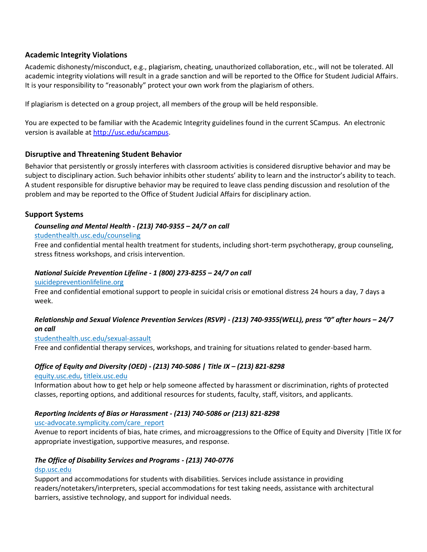# **Academic Integrity Violations**

Academic dishonesty/misconduct, e.g., plagiarism, cheating, unauthorized collaboration, etc., will not be tolerated. All academic integrity violations will result in a grade sanction and will be reported to the Office for Student Judicial Affairs. It is your responsibility to "reasonably" protect your own work from the plagiarism of others.

If plagiarism is detected on a group project, all members of the group will be held responsible.

You are expected to be familiar with the Academic Integrity guidelines found in the current SCampus. An electronic version is available at [http://usc.edu/scampus.](http://usc.edu/scampus)

## **Disruptive and Threatening Student Behavior**

Behavior that persistently or grossly interferes with classroom activities is considered disruptive behavior and may be subject to disciplinary action. Such behavior inhibits other students' ability to learn and the instructor's ability to teach. A student responsible for disruptive behavior may be required to leave class pending discussion and resolution of the problem and may be reported to the Office of Student Judicial Affairs for disciplinary action.

## **Support Systems**

## *Counseling and Mental Health - (213) 740-9355 – 24/7 on call*

### [studenthealth.usc.edu/counseling](https://studenthealth.usc.edu/counseling/)

Free and confidential mental health treatment for students, including short-term psychotherapy, group counseling, [str](https://engemannshc.usc.edu/counseling/)ess fitness workshops, and crisis intervention.

#### *National Suicide Prevention Lifeline - 1 (800) 273-8255 – 24/7 on call*

#### [suicidepreventionlifeline.org](http://www.suicidepreventionlifeline.org/)

Free and confidential emotional support to people in suicidal crisis or emotional distress 24 hours a day, 7 days a [we](http://www.suicidepreventionlifeline.org/)ek.

## *Relationship and Sexual Violence Prevention Services (RSVP) - (213) 740-9355(WELL), press "0" after hours – 24/7 on call*

### [studenthealth.usc.edu/sexual-assault](https://studenthealth.usc.edu/sexual-assault/)

Free and confidential therapy services, workshops, and training for situations related to gender-based harm[.](https://engemannshc.usc.edu/rsvp/)

### *Office of Equity and Diversity (OED) - (213) 740-5086 | Title IX – (213) 821-8298*

### [equity.usc.edu,](https://equity.usc.edu/) [titleix.usc.edu](http://titleix.usc.edu/)

Information about how to get help or help someone affected by harassment or discrimination, rights of protected classes, reporting options, and additional resources for students, faculty, staff, visitors, and applicants.

### *Reporting Incidents of Bias or Harassment - (213) 740-5086 or (213) 821-8298*

### [usc-advocate.symplicity.com/care\\_report](https://usc-advocate.symplicity.com/care_report/)

Avenue to report incidents of bias, hate crimes, and microaggressions to the Office of Equity and Diversity |Title IX for appropriate investigation, supportive measures, and response[.](https://studentaffairs.usc.edu/bias-assessment-response-support/)

### *The Office of Disability Services and Programs - (213) 740-0776*

### [dsp.usc.edu](http://dsp.usc.edu/)

Support and accommodations for students with disabilities. Services include assistance in providing readers/notetakers/interpreters, special accommodations for test taking needs, assistance with architectural barriers, assistive technology, and support for individual needs.